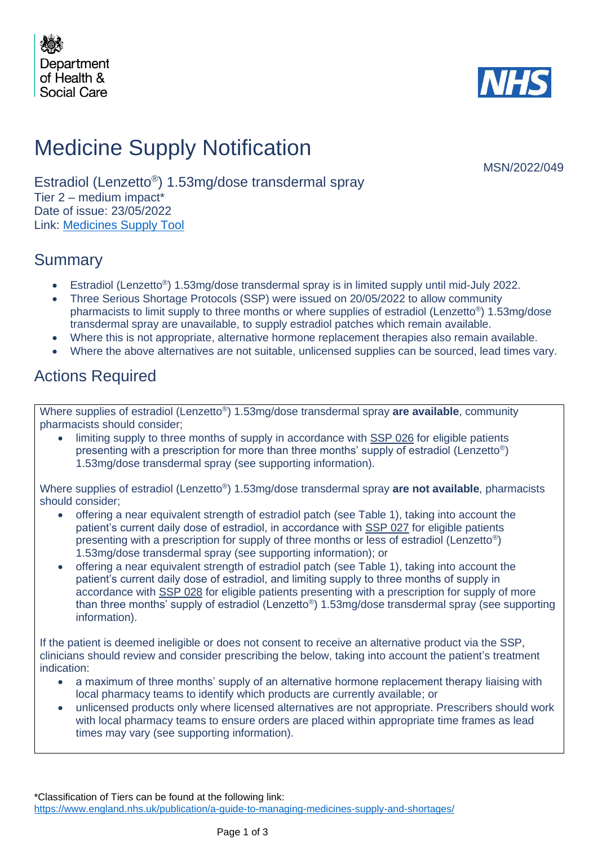



# Medicine Supply Notification

MSN/2022/049

Estradiol (Lenzetto® ) 1.53mg/dose transdermal spray Tier 2 – medium impact\* Date of issue: 23/05/2022 Link: [Medicines Supply Tool](https://www.sps.nhs.uk/home/planning/medicines-supply-tool/)

### Summary

- Estradiol (Lenzetto<sup>®</sup>) 1.53mg/dose transdermal spray is in limited supply until mid-July 2022.
- Three Serious Shortage Protocols (SSP) were issued on 20/05/2022 to allow community pharmacists to limit supply to three months or where supplies of estradiol (Lenzetto® ) 1.53mg/dose transdermal spray are unavailable, to supply estradiol patches which remain available.
- Where this is not appropriate, alternative hormone replacement therapies also remain available.
- Where the above alternatives are not suitable, unlicensed supplies can be sourced, lead times vary.

### Actions Required

Where supplies of estradiol (Lenzetto® ) 1.53mg/dose transdermal spray **are available**, community pharmacists should consider;

• limiting supply to three months of supply in accordance with SSP 026 for eligible patients presenting with a prescription for more than three months' supply of estradiol (Lenzetto<sup>®</sup>) 1.53mg/dose transdermal spray (see supporting information).

Where supplies of estradiol (Lenzetto® ) 1.53mg/dose transdermal spray **are not available**, pharmacists should consider;

- offering a near equivalent strength of estradiol patch (see Table 1), taking into account the patient's current daily dose of estradiol, in accordance with SSP 027 for eligible patients presenting with a prescription for supply of three months or less of estradiol (Lenzetto<sup>®</sup>) 1.53mg/dose transdermal spray (see supporting information); or
- offering a near equivalent strength of estradiol patch (see Table 1), taking into account the patient's current daily dose of estradiol, and limiting supply to three months of supply in accordance with SSP 028 for eligible patients presenting with a prescription for supply of more than three months' supply of estradiol (Lenzetto®) 1.53mg/dose transdermal spray (see supporting information).

If the patient is deemed ineligible or does not consent to receive an alternative product via the SSP, clinicians should review and consider prescribing the below, taking into account the patient's treatment indication:

- a maximum of three months' supply of an alternative hormone replacement therapy liaising with local pharmacy teams to identify which products are currently available; or
- unlicensed products only where licensed alternatives are not appropriate. Prescribers should work with local pharmacy teams to ensure orders are placed within appropriate time frames as lead times may vary (see supporting information).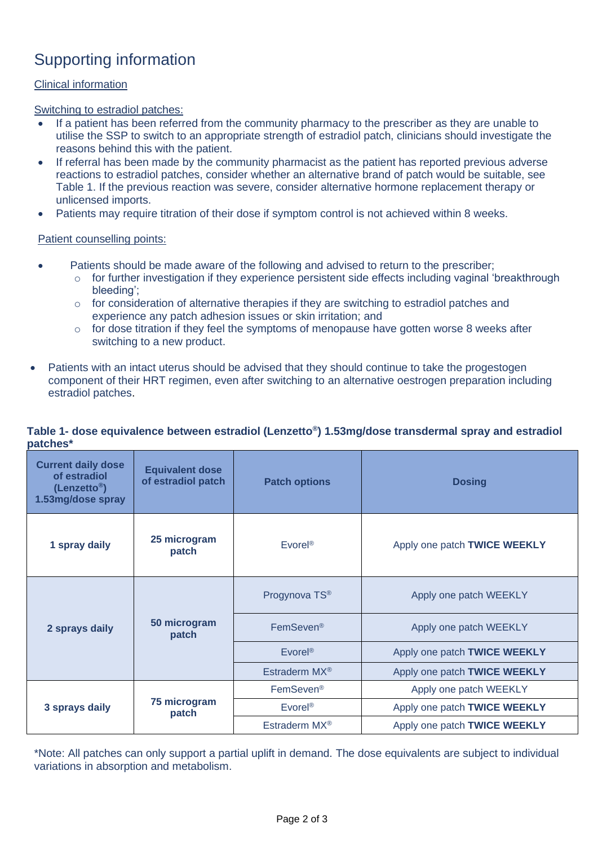## Supporting information

#### Clinical information

Switching to estradiol patches:

- If a patient has been referred from the community pharmacy to the prescriber as they are unable to utilise the SSP to switch to an appropriate strength of estradiol patch, clinicians should investigate the reasons behind this with the patient.
- If referral has been made by the community pharmacist as the patient has reported previous adverse reactions to estradiol patches, consider whether an alternative brand of patch would be suitable, see Table 1. If the previous reaction was severe, consider alternative hormone replacement therapy or unlicensed imports.
- Patients may require titration of their dose if symptom control is not achieved within 8 weeks.

#### Patient counselling points:

- Patients should be made aware of the following and advised to return to the prescriber;
	- o for further investigation if they experience persistent side effects including vaginal 'breakthrough bleeding';
	- $\circ$  for consideration of alternative therapies if they are switching to estradiol patches and experience any patch adhesion issues or skin irritation; and
	- o for dose titration if they feel the symptoms of menopause have gotten worse 8 weeks after switching to a new product.
- Patients with an intact uterus should be advised that they should continue to take the progestogen component of their HRT regimen, even after switching to an alternative oestrogen preparation including estradiol patches.

#### **Table 1- dose equivalence between estradiol (Lenzetto® ) 1.53mg/dose transdermal spray and estradiol patches\***

| <b>Current daily dose</b><br>of estradiol<br>(Lenzetto <sup>®</sup> )<br>1.53mg/dose spray | <b>Equivalent dose</b><br>of estradiol patch | <b>Patch options</b>      | <b>Dosing</b>                |
|--------------------------------------------------------------------------------------------|----------------------------------------------|---------------------------|------------------------------|
| 1 spray daily                                                                              | 25 microgram<br>patch                        | Evorel <sup>®</sup>       | Apply one patch TWICE WEEKLY |
| 2 sprays daily                                                                             | 50 microgram<br>patch                        | Progynova TS®             | Apply one patch WEEKLY       |
|                                                                                            |                                              | FemSeven <sup>®</sup>     | Apply one patch WEEKLY       |
|                                                                                            |                                              | Evorel <sup>®</sup>       | Apply one patch TWICE WEEKLY |
|                                                                                            |                                              | Estraderm MX <sup>®</sup> | Apply one patch TWICE WEEKLY |
| 3 sprays daily                                                                             | 75 microgram<br>patch                        | FemSeven <sup>®</sup>     | Apply one patch WEEKLY       |
|                                                                                            |                                              | <b>Evorel<sup>®</sup></b> | Apply one patch TWICE WEEKLY |
|                                                                                            |                                              | Estraderm MX <sup>®</sup> | Apply one patch TWICE WEEKLY |

\*Note: All patches can only support a partial uplift in demand. The dose equivalents are subject to individual variations in absorption and metabolism.